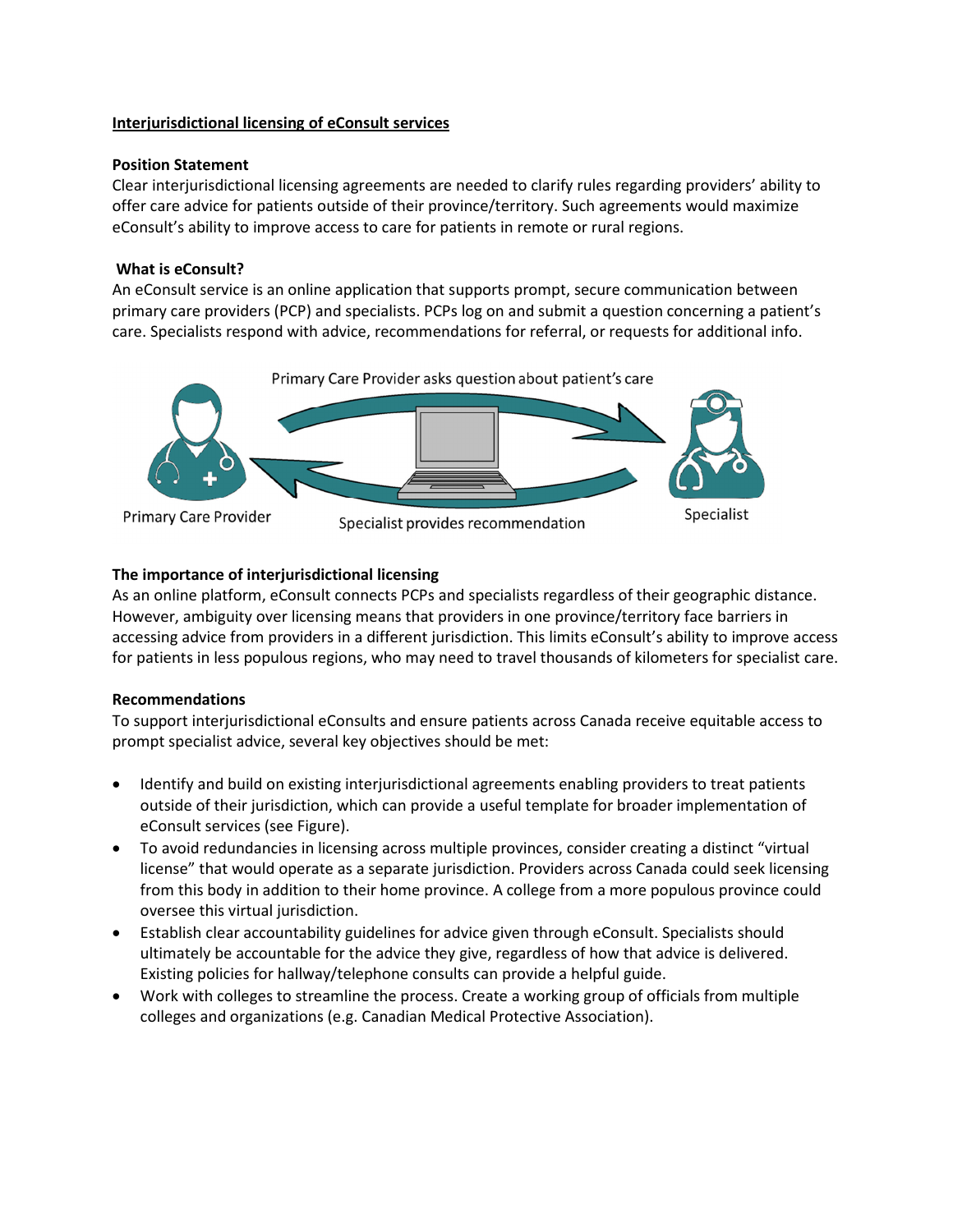## **Interjurisdictional licensing of eConsult services**

#### **Position Statement**

Clear interjurisdictional licensing agreements are needed to clarify rules regarding providers' ability to offer care advice for patients outside of their province/territory. Such agreements would maximize eConsult's ability to improve access to care for patients in remote or rural regions.

## **What is eConsult?**

An eConsult service is an online application that supports prompt, secure communication between primary care providers (PCP) and specialists. PCPs log on and submit a question concerning a patient's care. Specialists respond with advice, recommendations for referral, or requests for additional info.



# **The importance of interjurisdictional licensing**

As an online platform, eConsult connects PCPs and specialists regardless of their geographic distance. However, ambiguity over licensing means that providers in one province/territory face barriers in accessing advice from providers in a different jurisdiction. This limits eConsult's ability to improve access for patients in less populous regions, who may need to travel thousands of kilometers for specialist care.

## **Recommendations**

To support interjurisdictional eConsults and ensure patients across Canada receive equitable access to prompt specialist advice, several key objectives should be met:

- Identify and build on existing interjurisdictional agreements enabling providers to treat patients outside of their jurisdiction, which can provide a useful template for broader implementation of eConsult services (see Figure).
- To avoid redundancies in licensing across multiple provinces, consider creating a distinct "virtual license" that would operate as a separate jurisdiction. Providers across Canada could seek licensing from this body in addition to their home province. A college from a more populous province could oversee this virtual jurisdiction.
- Establish clear accountability guidelines for advice given through eConsult. Specialists should ultimately be accountable for the advice they give, regardless of how that advice is delivered. Existing policies for hallway/telephone consults can provide a helpful guide.
- Work with colleges to streamline the process. Create a working group of officials from multiple colleges and organizations (e.g. Canadian Medical Protective Association).